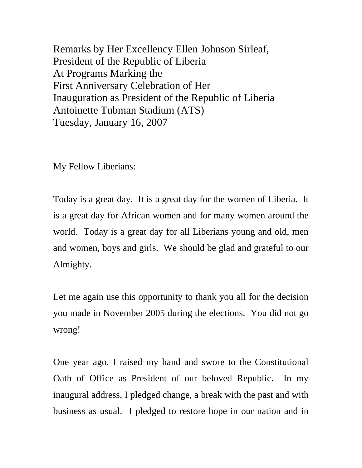Remarks by Her Excellency Ellen Johnson Sirleaf, President of the Republic of Liberia At Programs Marking the First Anniversary Celebration of Her Inauguration as President of the Republic of Liberia Antoinette Tubman Stadium (ATS) Tuesday, January 16, 2007

My Fellow Liberians:

Today is a great day. It is a great day for the women of Liberia. It is a great day for African women and for many women around the world. Today is a great day for all Liberians young and old, men and women, boys and girls. We should be glad and grateful to our Almighty.

Let me again use this opportunity to thank you all for the decision you made in November 2005 during the elections. You did not go wrong!

One year ago, I raised my hand and swore to the Constitutional Oath of Office as President of our beloved Republic. In my inaugural address, I pledged change, a break with the past and with business as usual. I pledged to restore hope in our nation and in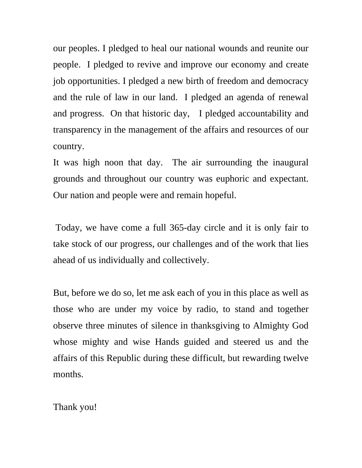our peoples. I pledged to heal our national wounds and reunite our people. I pledged to revive and improve our economy and create job opportunities. I pledged a new birth of freedom and democracy and the rule of law in our land. I pledged an agenda of renewal and progress. On that historic day, I pledged accountability and transparency in the management of the affairs and resources of our country.

It was high noon that day. The air surrounding the inaugural grounds and throughout our country was euphoric and expectant. Our nation and people were and remain hopeful.

 Today, we have come a full 365-day circle and it is only fair to take stock of our progress, our challenges and of the work that lies ahead of us individually and collectively.

But, before we do so, let me ask each of you in this place as well as those who are under my voice by radio, to stand and together observe three minutes of silence in thanksgiving to Almighty God whose mighty and wise Hands guided and steered us and the affairs of this Republic during these difficult, but rewarding twelve months.

Thank you!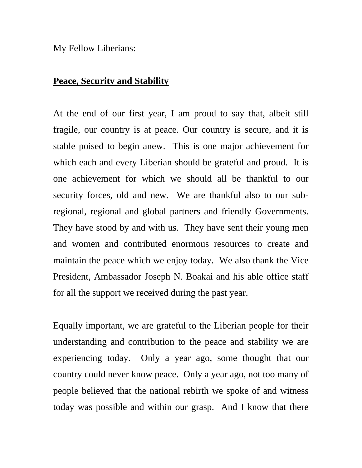My Fellow Liberians:

## **Peace, Security and Stability**

At the end of our first year, I am proud to say that, albeit still fragile, our country is at peace. Our country is secure, and it is stable poised to begin anew. This is one major achievement for which each and every Liberian should be grateful and proud. It is one achievement for which we should all be thankful to our security forces, old and new. We are thankful also to our subregional, regional and global partners and friendly Governments. They have stood by and with us. They have sent their young men and women and contributed enormous resources to create and maintain the peace which we enjoy today. We also thank the Vice President, Ambassador Joseph N. Boakai and his able office staff for all the support we received during the past year.

Equally important, we are grateful to the Liberian people for their understanding and contribution to the peace and stability we are experiencing today. Only a year ago, some thought that our country could never know peace. Only a year ago, not too many of people believed that the national rebirth we spoke of and witness today was possible and within our grasp. And I know that there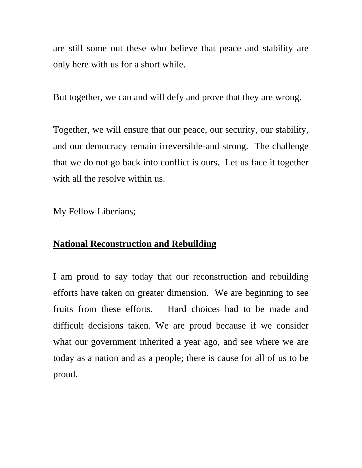are still some out these who believe that peace and stability are only here with us for a short while.

But together, we can and will defy and prove that they are wrong.

Together, we will ensure that our peace, our security, our stability, and our democracy remain irreversible-and strong. The challenge that we do not go back into conflict is ours. Let us face it together with all the resolve within us.

My Fellow Liberians;

## **National Reconstruction and Rebuilding**

I am proud to say today that our reconstruction and rebuilding efforts have taken on greater dimension. We are beginning to see fruits from these efforts. Hard choices had to be made and difficult decisions taken. We are proud because if we consider what our government inherited a year ago, and see where we are today as a nation and as a people; there is cause for all of us to be proud.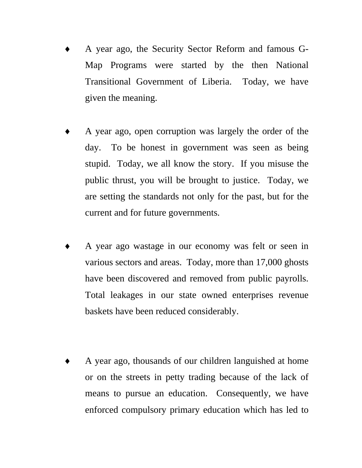- ♦ A year ago, the Security Sector Reform and famous G-Map Programs were started by the then National Transitional Government of Liberia. Today, we have given the meaning.
- A year ago, open corruption was largely the order of the day. To be honest in government was seen as being stupid. Today, we all know the story. If you misuse the public thrust, you will be brought to justice. Today, we are setting the standards not only for the past, but for the current and for future governments.
- A year ago wastage in our economy was felt or seen in various sectors and areas. Today, more than 17,000 ghosts have been discovered and removed from public payrolls. Total leakages in our state owned enterprises revenue baskets have been reduced considerably.
- A year ago, thousands of our children languished at home or on the streets in petty trading because of the lack of means to pursue an education. Consequently, we have enforced compulsory primary education which has led to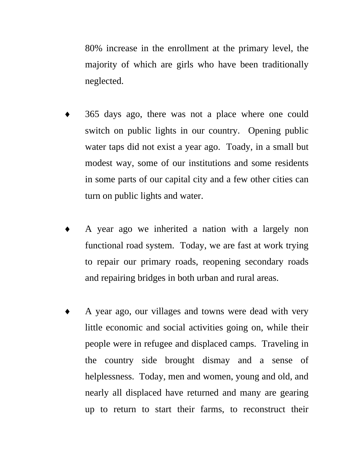80% increase in the enrollment at the primary level, the majority of which are girls who have been traditionally neglected.

- 365 days ago, there was not a place where one could switch on public lights in our country. Opening public water taps did not exist a year ago. Toady, in a small but modest way, some of our institutions and some residents in some parts of our capital city and a few other cities can turn on public lights and water.
- A year ago we inherited a nation with a largely non functional road system. Today, we are fast at work trying to repair our primary roads, reopening secondary roads and repairing bridges in both urban and rural areas.
- A year ago, our villages and towns were dead with very little economic and social activities going on, while their people were in refugee and displaced camps. Traveling in the country side brought dismay and a sense of helplessness. Today, men and women, young and old, and nearly all displaced have returned and many are gearing up to return to start their farms, to reconstruct their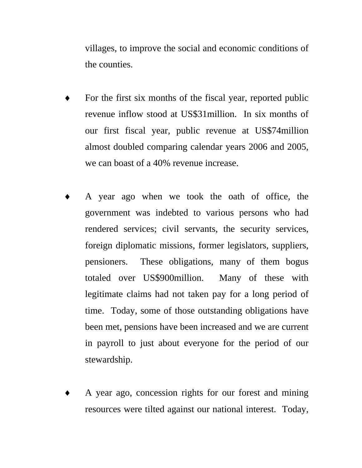villages, to improve the social and economic conditions of the counties.

- For the first six months of the fiscal year, reported public revenue inflow stood at US\$31million. In six months of our first fiscal year, public revenue at US\$74million almost doubled comparing calendar years 2006 and 2005, we can boast of a 40% revenue increase.
- A year ago when we took the oath of office, the government was indebted to various persons who had rendered services; civil servants, the security services, foreign diplomatic missions, former legislators, suppliers, pensioners. These obligations, many of them bogus totaled over US\$900million. Many of these with legitimate claims had not taken pay for a long period of time. Today, some of those outstanding obligations have been met, pensions have been increased and we are current in payroll to just about everyone for the period of our stewardship.
- A year ago, concession rights for our forest and mining resources were tilted against our national interest. Today,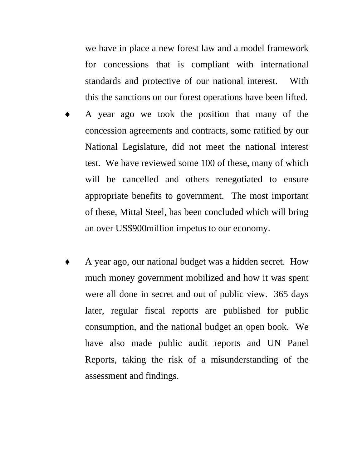we have in place a new forest law and a model framework for concessions that is compliant with international standards and protective of our national interest. With this the sanctions on our forest operations have been lifted.

- A year ago we took the position that many of the concession agreements and contracts, some ratified by our National Legislature, did not meet the national interest test. We have reviewed some 100 of these, many of which will be cancelled and others renegotiated to ensure appropriate benefits to government. The most important of these, Mittal Steel, has been concluded which will bring an over US\$900million impetus to our economy.
- A year ago, our national budget was a hidden secret. How much money government mobilized and how it was spent were all done in secret and out of public view. 365 days later, regular fiscal reports are published for public consumption, and the national budget an open book. We have also made public audit reports and UN Panel Reports, taking the risk of a misunderstanding of the assessment and findings.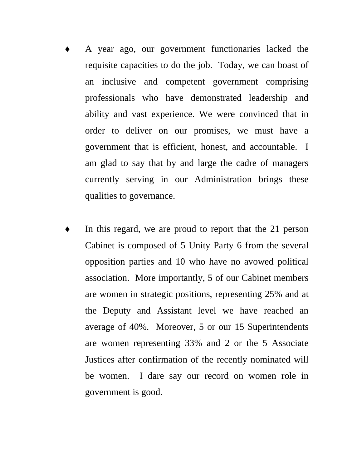- A year ago, our government functionaries lacked the requisite capacities to do the job. Today, we can boast of an inclusive and competent government comprising professionals who have demonstrated leadership and ability and vast experience. We were convinced that in order to deliver on our promises, we must have a government that is efficient, honest, and accountable. I am glad to say that by and large the cadre of managers currently serving in our Administration brings these qualities to governance.
- In this regard, we are proud to report that the 21 person Cabinet is composed of 5 Unity Party 6 from the several opposition parties and 10 who have no avowed political association. More importantly, 5 of our Cabinet members are women in strategic positions, representing 25% and at the Deputy and Assistant level we have reached an average of 40%. Moreover, 5 or our 15 Superintendents are women representing 33% and 2 or the 5 Associate Justices after confirmation of the recently nominated will be women. I dare say our record on women role in government is good.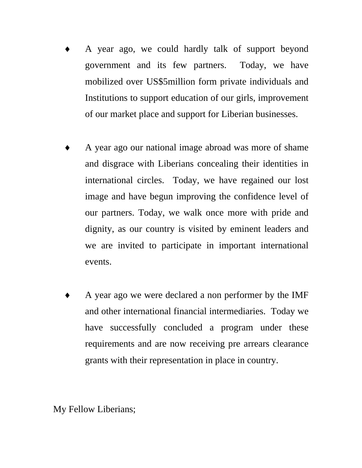- A year ago, we could hardly talk of support beyond government and its few partners. Today, we have mobilized over US\$5million form private individuals and Institutions to support education of our girls, improvement of our market place and support for Liberian businesses.
- A year ago our national image abroad was more of shame and disgrace with Liberians concealing their identities in international circles. Today, we have regained our lost image and have begun improving the confidence level of our partners. Today, we walk once more with pride and dignity, as our country is visited by eminent leaders and we are invited to participate in important international events.
- ♦ A year ago we were declared a non performer by the IMF and other international financial intermediaries. Today we have successfully concluded a program under these requirements and are now receiving pre arrears clearance grants with their representation in place in country.

My Fellow Liberians;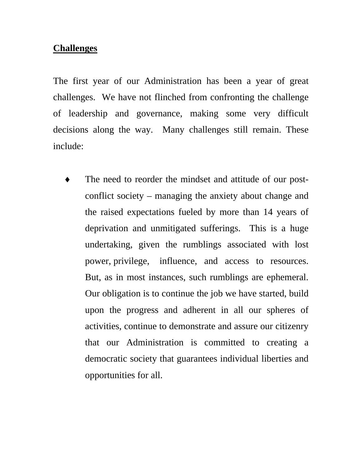## **Challenges**

The first year of our Administration has been a year of great challenges. We have not flinched from confronting the challenge of leadership and governance, making some very difficult decisions along the way. Many challenges still remain. These include:

The need to reorder the mindset and attitude of our postconflict society – managing the anxiety about change and the raised expectations fueled by more than 14 years of deprivation and unmitigated sufferings. This is a huge undertaking, given the rumblings associated with lost power, privilege, influence, and access to resources. But, as in most instances, such rumblings are ephemeral. Our obligation is to continue the job we have started, build upon the progress and adherent in all our spheres of activities, continue to demonstrate and assure our citizenry that our Administration is committed to creating a democratic society that guarantees individual liberties and opportunities for all.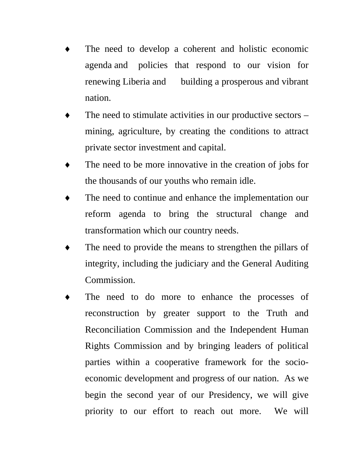- The need to develop a coherent and holistic economic agenda and policies that respond to our vision for renewing Liberia and building a prosperous and vibrant nation.
- The need to stimulate activities in our productive sectors  $$ mining, agriculture, by creating the conditions to attract private sector investment and capital.
- The need to be more innovative in the creation of jobs for the thousands of our youths who remain idle.
- The need to continue and enhance the implementation our reform agenda to bring the structural change and transformation which our country needs.
- The need to provide the means to strengthen the pillars of integrity, including the judiciary and the General Auditing Commission.
- The need to do more to enhance the processes of reconstruction by greater support to the Truth and Reconciliation Commission and the Independent Human Rights Commission and by bringing leaders of political parties within a cooperative framework for the socioeconomic development and progress of our nation. As we begin the second year of our Presidency, we will give priority to our effort to reach out more. We will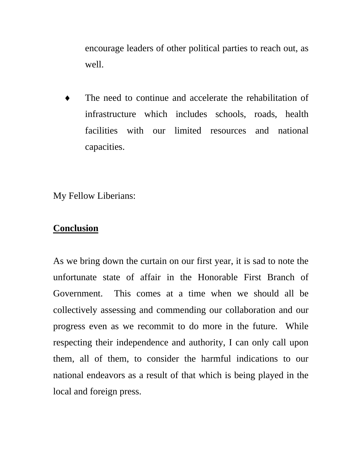encourage leaders of other political parties to reach out, as well.

The need to continue and accelerate the rehabilitation of infrastructure which includes schools, roads, health facilities with our limited resources and national capacities.

My Fellow Liberians:

## **Conclusion**

As we bring down the curtain on our first year, it is sad to note the unfortunate state of affair in the Honorable First Branch of Government. This comes at a time when we should all be collectively assessing and commending our collaboration and our progress even as we recommit to do more in the future. While respecting their independence and authority, I can only call upon them, all of them, to consider the harmful indications to our national endeavors as a result of that which is being played in the local and foreign press.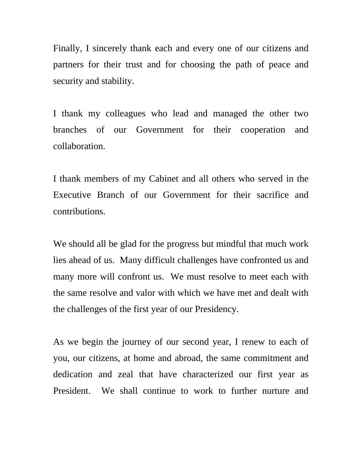Finally, I sincerely thank each and every one of our citizens and partners for their trust and for choosing the path of peace and security and stability.

I thank my colleagues who lead and managed the other two branches of our Government for their cooperation and collaboration.

I thank members of my Cabinet and all others who served in the Executive Branch of our Government for their sacrifice and contributions.

We should all be glad for the progress but mindful that much work lies ahead of us. Many difficult challenges have confronted us and many more will confront us. We must resolve to meet each with the same resolve and valor with which we have met and dealt with the challenges of the first year of our Presidency.

As we begin the journey of our second year, I renew to each of you, our citizens, at home and abroad, the same commitment and dedication and zeal that have characterized our first year as President. We shall continue to work to further nurture and